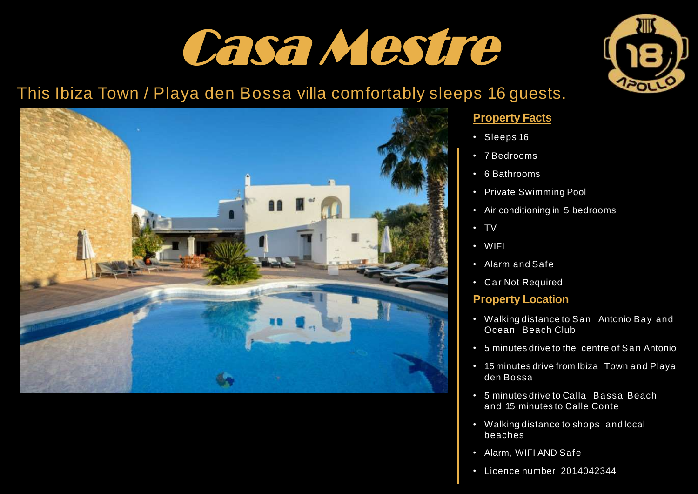## Casa Mestre

## This Ibiza Town / Playa den Bossa villa comfortably sleeps 16 guests.



#### **Property Facts**

- Sleeps 16
- 7 Bedrooms
- 6 Bathrooms
- Private Swimming Pool
- Air conditioning in 5 bedrooms
- TV
- WIFI
- Alarm and Safe
- Car Not Required

#### **Property Location**

- Walking distance to San Antonio Bay and Ocean Beach Club
- 5 minutes drive to the centre of San Antonio
- 15 minutes drive from Ibiza Town and Playa den Bossa
- 5 minutes drive to Calla Bassa Beach and 15 minutes to Calle Conte
- Walking distance to shops and local beaches
- Alarm, WIFI AND Safe
- Licence number 2014042344

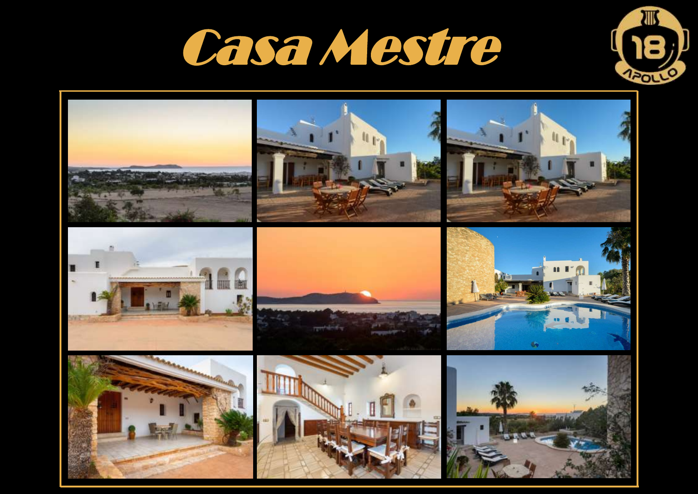



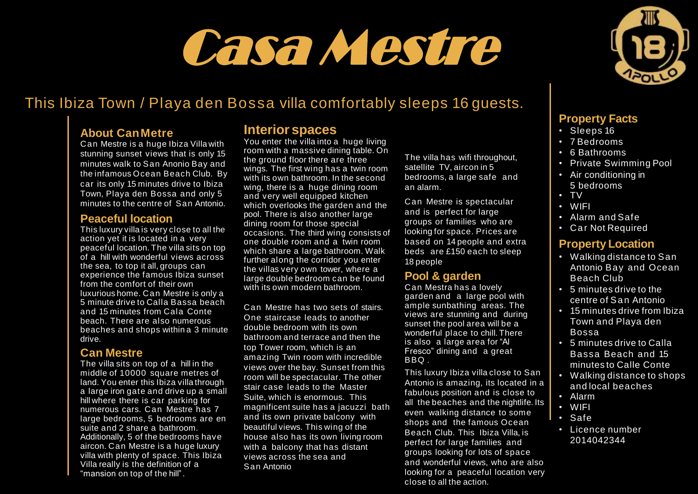# **Can Mestre** Casa Mestre

## This Ibiza Town / Playa den Bossa villa comfortably sleeps 16 guests.

#### **About CanMetre**

Can Mestre is a huge Ibiza Villa with stunning sunset views that is only 15 minutes walk to San Anonio Bay and the infamous Ocean Beach Club. By car its only 15 minutes drive to Ibiza Town, Playa den Bossa and only 5 minutes to the centre of San Antonio.

#### **Peaceful location**

This luxury villa is very close to all the action yet it is located in a very peaceful location. The villa sits on top of a hill with wonderful views across the sea, to top it all, groups can experience the famous Ibiza sunset from the comfort of their own luxurious home. Can Mestre is only a 5 minute drive to Calla Bassa beach and 15 minutes from Cala Conte beach. There are also numerous beaches and shops within a 3 minute drive.

#### **Can Mestre**

The villa sits on top of a hill in the middle of 10000 square metres of land. You enter this Ibiza villa through a large iron gate and drive up a small hill where there is car parking for numerous cars. Can Mestre has 7 large bedrooms, 5 bedrooms are en suite and 2 share a bathroom. Additionally, 5 of the bedrooms have aircon. Can Mestre is a huge luxury villa with plenty of space. This Ibiza Villa really is the definition of a "mansion on top of the hill".

#### **Interior spaces**

You enter the villa into a huge living room with a massive dining table. On the ground floor there are three wings. The first wing has a twin room with its own bathroom. In the second wing, there is a huge dining room and very well equipped kitchen which overlooks the garden and the pool. There is also another large dining room for those special occasions. The third wing consists of one double room and a twin room which share a large bathroom. Walk further along the corridor you enter the villas very own tower, where a large double bedroom can be found with its own modern bathroom.

Can Mestre has two sets of stairs. One staircase leads to another double bedroom with its own bathroom and terrace and then the top Tower room, which is an amazing Twin room with incredible views over the bay. Sunset from this room will be spectacular. The other stair case leads to the Master Suite, which is enormous. This magnificent suite has a jacuzzi bath and its own private balcony with beautiful views. This wing of the house also has its own living room with a balcony that has distant views across the sea and San Antonio

The villa has wifi throughout, satellite TV, aircon in 5 bedrooms, a large safe and an alarm.

Can Mestre is spectacular and is perfect for large groups or families who are looking for space. Prices are based on 14 people and extra beds are £150 each to sleep 18 people

#### **Pool & garden**

Can Mestra has a lovely garden and a large pool with ample sunbathing areas. The views are stunning and during sunset the pool area will be a wonderful place to chill. There is also a large area for "Al Fresco" dining and a great BBQ .

This luxury Ibiza villa close to San Antonio is amazing, its located in a fabulous position and is close to all the beaches and the nightlife. Its even walking distance to some shops and the famous Ocean Beach Club. This Ibiza Villa, is perfect for large families and groups looking for lots of space and wonderful views, who are also looking for a peaceful location very close to all the action.



#### **Property Facts**

- Sleeps 16
- 7 Bedrooms
- 6 Bathrooms
- Private Swimming Pool
- Air conditioning in 5 bedrooms
- TV
- WIFI
- Alarm and Safe
- Car Not Required

#### **Property Location**

- Walking distance to San Antonio Bay and Ocean Beach Club
- 5 minutes drive to the centre of San Antonio
- 15 minutes drive from Ibiza Town and Playa den Bossa
- 5 minutes drive to Calla Bassa Beach and 15 minutes to Calle Conte
- Walking distance to shops and local beaches
- Alarm
- WIFI
- Safe
- Licence number 2014042344